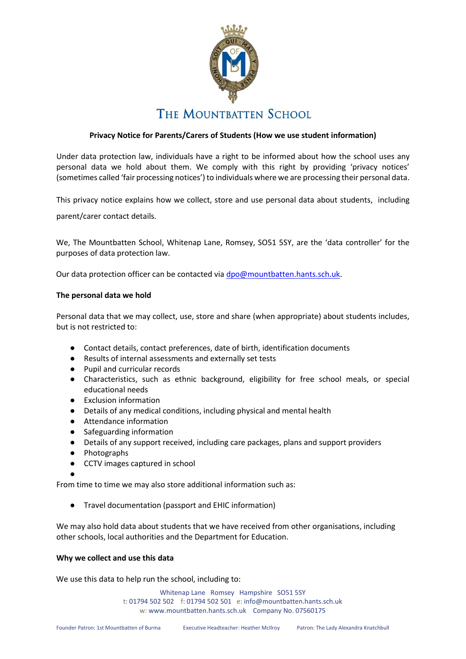

# **Privacy Notice for Parents/Carers of Students (How we use student information)**

Under data protection law, individuals have a right to be informed about how the school uses any personal data we hold about them. We comply with this right by providing 'privacy notices' (sometimes called 'fair processing notices') to individuals where we are processing their personal data.

This privacy notice explains how we collect, store and use personal data about students, including

parent/carer contact details.

We, The Mountbatten School, Whitenap Lane, Romsey, SO51 5SY, are the 'data controller' for the purposes of data protection law.

Our data protection officer can be contacted via [dpo@mountbatten.hants.sch.uk.](mailto:dpo@mountbatten.hants.sch.uk)

#### **The personal data we hold**

Personal data that we may collect, use, store and share (when appropriate) about students includes, but is not restricted to:

- Contact details, contact preferences, date of birth, identification documents
- Results of internal assessments and externally set tests
- Pupil and curricular records
- Characteristics, such as ethnic background, eligibility for free school meals, or special educational needs
- Exclusion information
- Details of any medical conditions, including physical and mental health
- Attendance information
- Safeguarding information
- Details of any support received, including care packages, plans and support providers
- Photographs
- CCTV images captured in school
- ●

From time to time we may also store additional information such as:

● Travel documentation (passport and EHIC information)

We may also hold data about students that we have received from other organisations, including other schools, local authorities and the Department for Education.

## **Why we collect and use this data**

We use this data to help run the school, including to: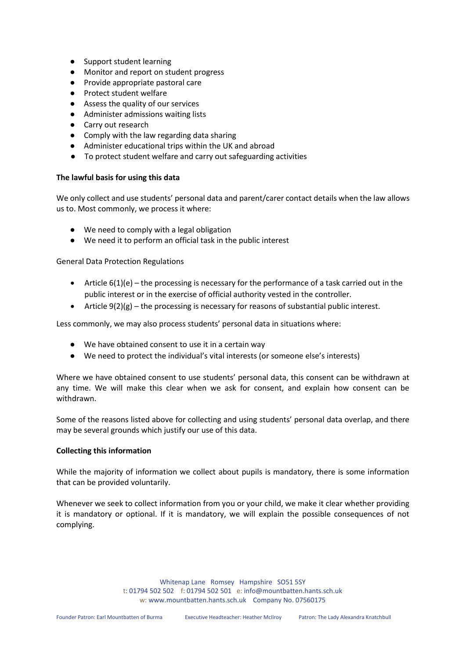- Support student learning
- Monitor and report on student progress
- Provide appropriate pastoral care
- Protect student welfare
- Assess the quality of our services
- Administer admissions waiting lists
- Carry out research
- Comply with the law regarding data sharing
- Administer educational trips within the UK and abroad
- To protect student welfare and carry out safeguarding activities

## **The lawful basis for using this data**

We only collect and use students' personal data and parent/carer contact details when the law allows us to. Most commonly, we process it where:

- We need to comply with a legal obligation
- We need it to perform an official task in the public interest

General Data Protection Regulations

- Article  $6(1)(e)$  the processing is necessary for the performance of a task carried out in the public interest or in the exercise of official authority vested in the controller.
- Article 9(2)(g) the processing is necessary for reasons of substantial public interest.

Less commonly, we may also process students' personal data in situations where:

- We have obtained consent to use it in a certain way
- We need to protect the individual's vital interests (or someone else's interests)

Where we have obtained consent to use students' personal data, this consent can be withdrawn at any time. We will make this clear when we ask for consent, and explain how consent can be withdrawn.

Some of the reasons listed above for collecting and using students' personal data overlap, and there may be several grounds which justify our use of this data.

## **Collecting this information**

While the majority of information we collect about pupils is mandatory, there is some information that can be provided voluntarily.

Whenever we seek to collect information from you or your child, we make it clear whether providing it is mandatory or optional. If it is mandatory, we will explain the possible consequences of not complying.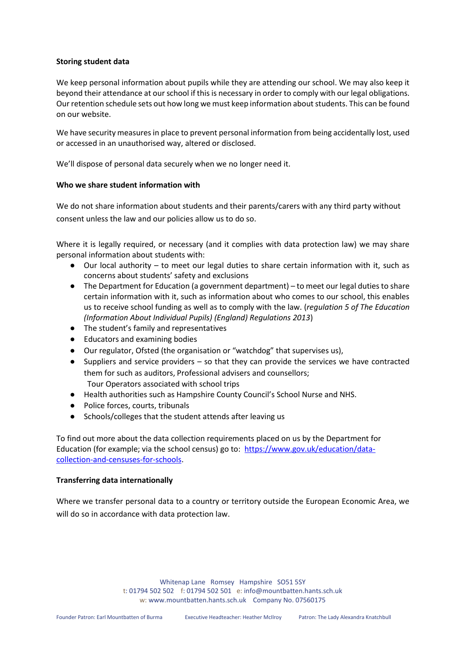## **Storing student data**

We keep personal information about pupils while they are attending our school. We may also keep it beyond their attendance at our school if this is necessary in order to comply with our legal obligations. Our retention schedule sets out how long we must keep information about students. This can be found on our website.

We have security measures in place to prevent personal information from being accidentally lost, used or accessed in an unauthorised way, altered or disclosed.

We'll dispose of personal data securely when we no longer need it.

#### **Who we share student information with**

We do not share information about students and their parents/carers with any third party without consent unless the law and our policies allow us to do so.

Where it is legally required, or necessary (and it complies with data protection law) we may share personal information about students with:

- Our local authority to meet our legal duties to share certain information with it, such as concerns about students' safety and exclusions
- The Department for Education (a government department) to meet our legal duties to share certain information with it, such as information about who comes to our school, this enables us to receive school funding as well as to comply with the law. (*regulation 5 of The Education (Information About Individual Pupils) (England) Regulations 2013*)
- The student's family and representatives
- Educators and examining bodies
- Our regulator, Ofsted (the organisation or "watchdog" that supervises us),
- Suppliers and service providers so that they can provide the services we have contracted them for such as auditors, Professional advisers and counsellors; Tour Operators associated with school trips
- Health authorities such as Hampshire County Council's School Nurse and NHS.
- Police forces, courts, tribunals
- Schools/colleges that the student attends after leaving us

To find out more about the data collection requirements placed on us by the Department for Education (for example; via the school census) go to: https://www.gov.uk/education/datacollection-and-censuses-for-schools.

## **Transferring data internationally**

Where we transfer personal data to a country or territory outside the European Economic Area, we will do so in accordance with data protection law.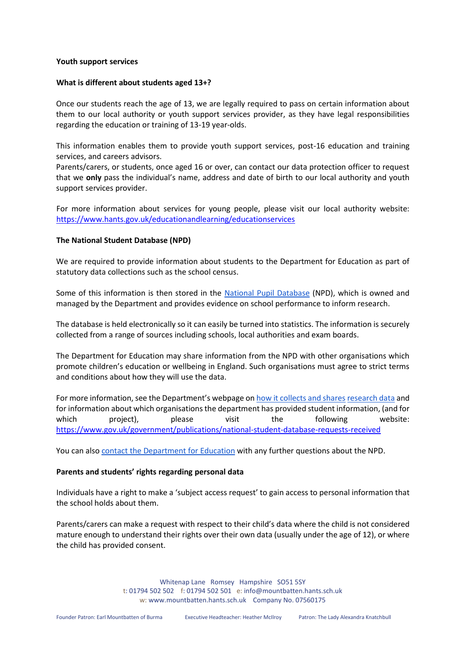#### **Youth support services**

#### **What is different about students aged 13+?**

Once our students reach the age of 13, we are legally required to pass on certain information about them to our local authority or youth support services provider, as they have legal responsibilities regarding the education or training of 13-19 year-olds.

This information enables them to provide youth support services, post-16 education and training services, and careers advisors.

Parents/carers, or students, once aged 16 or over, can contact our data protection officer to request that we **only** pass the individual's name, address and date of birth to our local authority and youth support services provider.

For more information about services for young people, please visit our local authority website: <https://www.hants.gov.uk/educationandlearning/educationservices>

#### **The National Student Database (NPD)**

We are required to provide information about students to the Department for Education as part of statutory data collections such as the school census.

Some of this information is then stored in the National Pupil Database (NPD), which is owned and managed by the Department and provides evidence on school performance to inform research.

The database is held electronically so it can easily be turned into statistics. The information is securely collected from a range of sources including schools, local authorities and exam boards.

The Department for Education may share information from the NPD with other organisations which promote children's education or wellbeing in England. Such organisations must agree to strict terms and conditions about how they will use the data.

For more information, see the Department's webpage on how it collects and shares research data and for information about which organisations the department has provided student information, (and for which project), please visit the following website: https://www.gov.uk/government/publications/national-student-database-requests-received

You can also contact the Department for Education with any further questions about the NPD.

#### **Parents and students' rights regarding personal data**

Individuals have a right to make a 'subject access request' to gain access to personal information that the school holds about them.

Parents/carers can make a request with respect to their child's data where the child is not considered mature enough to understand their rights over their own data (usually under the age of 12), or where the child has provided consent.